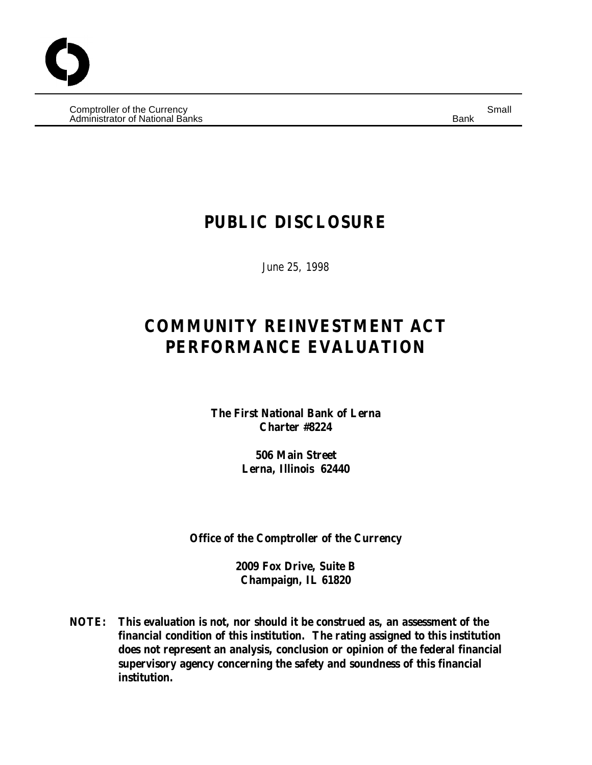$\hbox{\sf Computer of the Currency} \hspace{2cm} {\sf Small} \hspace{2cm} {\sf Small} \hspace{2cm}$ Administrator of National Banks Banks Banks Banks Bank Banks Banks Banks Banks Banks Banks Banks Banks Banks B

## **PUBLIC DISCLOSURE**

June 25, 1998

# **COMMUNITY REINVESTMENT ACT PERFORMANCE EVALUATION**

**The First National Bank of Lerna Charter #8224**

> **506 Main Street Lerna, Illinois 62440**

**Office of the Comptroller of the Currency**

**2009 Fox Drive, Suite B Champaign, IL 61820**

**NOTE: This evaluation is not, nor should it be construed as, an assessment of the financial condition of this institution. The rating assigned to this institution does not represent an analysis, conclusion or opinion of the federal financial supervisory agency concerning the safety and soundness of this financial institution.**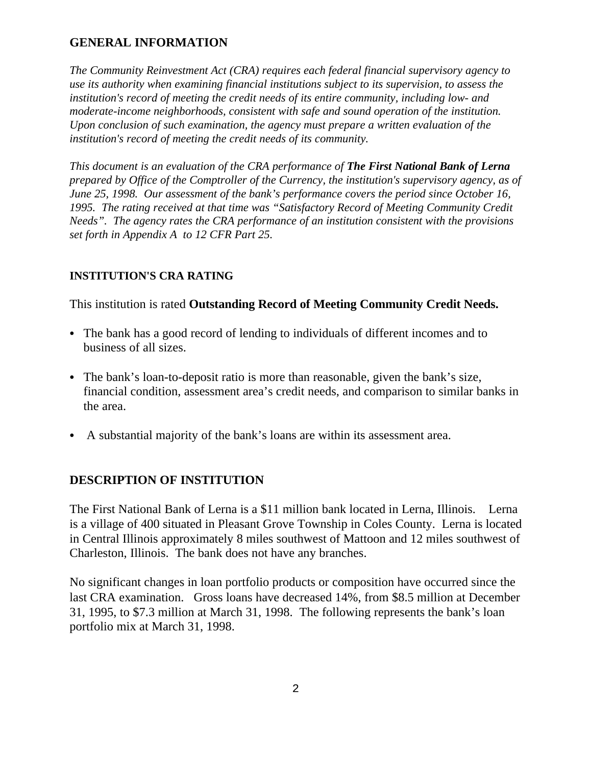## **GENERAL INFORMATION**

*The Community Reinvestment Act (CRA) requires each federal financial supervisory agency to use its authority when examining financial institutions subject to its supervision, to assess the institution's record of meeting the credit needs of its entire community, including low- and moderate-income neighborhoods, consistent with safe and sound operation of the institution. Upon conclusion of such examination, the agency must prepare a written evaluation of the institution's record of meeting the credit needs of its community.*

*This document is an evaluation of the CRA performance of The First National Bank of Lerna prepared by Office of the Comptroller of the Currency, the institution's supervisory agency, as of June 25, 1998. Our assessment of the bank's performance covers the period since October 16, 1995. The rating received at that time was "Satisfactory Record of Meeting Community Credit Needs". The agency rates the CRA performance of an institution consistent with the provisions set forth in Appendix A to 12 CFR Part 25.*

## **INSTITUTION'S CRA RATING**

This institution is rated **Outstanding Record of Meeting Community Credit Needs.**

- The bank has a good record of lending to individuals of different incomes and to business of all sizes.
- The bank's loan-to-deposit ratio is more than reasonable, given the bank's size, financial condition, assessment area's credit needs, and comparison to similar banks in the area.
- A substantial majority of the bank's loans are within its assessment area.

## **DESCRIPTION OF INSTITUTION**

The First National Bank of Lerna is a \$11 million bank located in Lerna, Illinois. Lerna is a village of 400 situated in Pleasant Grove Township in Coles County. Lerna is located in Central Illinois approximately 8 miles southwest of Mattoon and 12 miles southwest of Charleston, Illinois. The bank does not have any branches.

No significant changes in loan portfolio products or composition have occurred since the last CRA examination. Gross loans have decreased 14%, from \$8.5 million at December 31, 1995, to \$7.3 million at March 31, 1998. The following represents the bank's loan portfolio mix at March 31, 1998.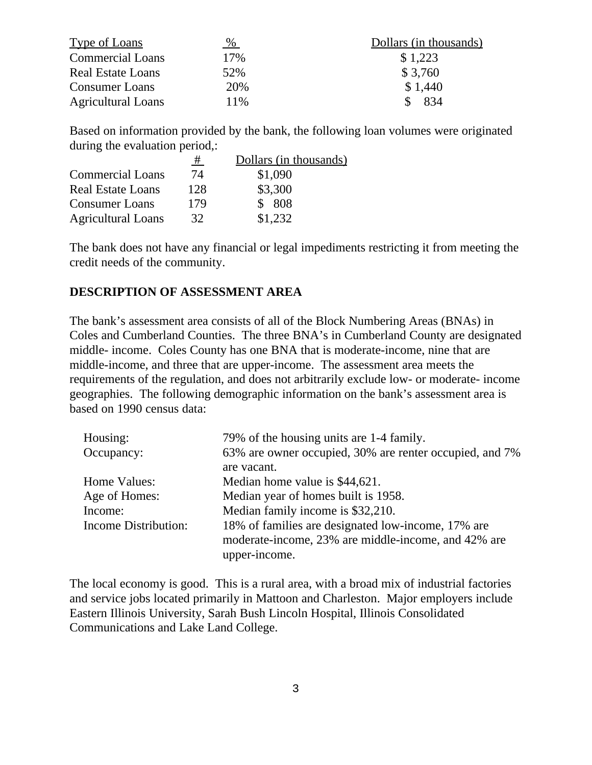| <b>Type of Loans</b>      | $\frac{9}{6}$ | Dollars (in thousands) |
|---------------------------|---------------|------------------------|
| <b>Commercial Loans</b>   | 17%           | \$1,223                |
| <b>Real Estate Loans</b>  | 52%           | \$3,760                |
| <b>Consumer Loans</b>     | 20%           | \$1,440                |
| <b>Agricultural Loans</b> | 11%           | 834                    |

Based on information provided by the bank, the following loan volumes were originated during the evaluation period,:

|                           | #   | Dollars (in thousands) |
|---------------------------|-----|------------------------|
| <b>Commercial Loans</b>   | 74  | \$1,090                |
| <b>Real Estate Loans</b>  | 128 | \$3,300                |
| <b>Consumer Loans</b>     | 179 | \$808                  |
| <b>Agricultural Loans</b> | 32  | \$1,232                |

The bank does not have any financial or legal impediments restricting it from meeting the credit needs of the community.

#### **DESCRIPTION OF ASSESSMENT AREA**

The bank's assessment area consists of all of the Block Numbering Areas (BNAs) in Coles and Cumberland Counties. The three BNA's in Cumberland County are designated middle- income. Coles County has one BNA that is moderate-income, nine that are middle-income, and three that are upper-income. The assessment area meets the requirements of the regulation, and does not arbitrarily exclude low- or moderate- income geographies. The following demographic information on the bank's assessment area is based on 1990 census data:

| Housing:             | 79% of the housing units are 1-4 family.                |  |  |
|----------------------|---------------------------------------------------------|--|--|
| Occupancy:           | 63% are owner occupied, 30% are renter occupied, and 7% |  |  |
|                      | are vacant.                                             |  |  |
| Home Values:         | Median home value is \$44,621.                          |  |  |
| Age of Homes:        | Median year of homes built is 1958.                     |  |  |
| Income:              | Median family income is \$32,210.                       |  |  |
| Income Distribution: | 18% of families are designated low-income, 17% are      |  |  |
|                      | moderate-income, 23% are middle-income, and 42% are     |  |  |
|                      | upper-income.                                           |  |  |

The local economy is good. This is a rural area, with a broad mix of industrial factories and service jobs located primarily in Mattoon and Charleston. Major employers include Eastern Illinois University, Sarah Bush Lincoln Hospital, Illinois Consolidated Communications and Lake Land College.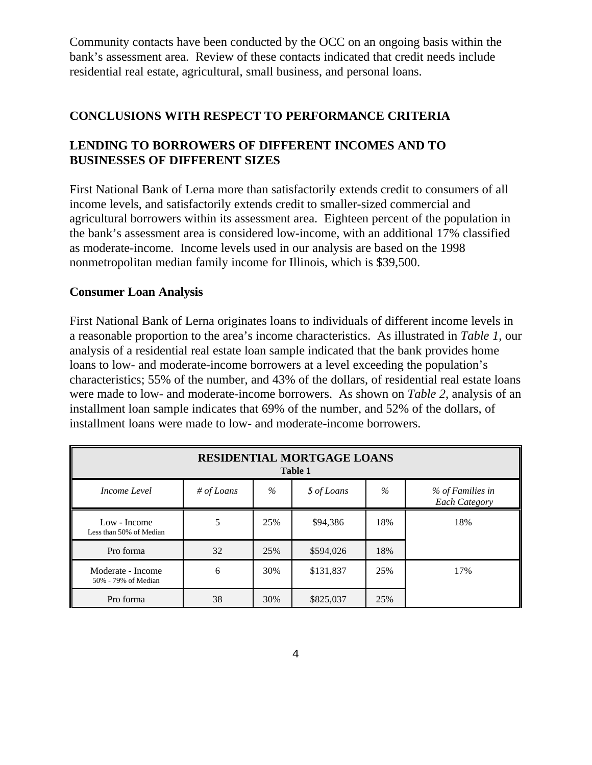Community contacts have been conducted by the OCC on an ongoing basis within the bank's assessment area. Review of these contacts indicated that credit needs include residential real estate, agricultural, small business, and personal loans.

## **CONCLUSIONS WITH RESPECT TO PERFORMANCE CRITERIA**

## **LENDING TO BORROWERS OF DIFFERENT INCOMES AND TO BUSINESSES OF DIFFERENT SIZES**

First National Bank of Lerna more than satisfactorily extends credit to consumers of all income levels, and satisfactorily extends credit to smaller-sized commercial and agricultural borrowers within its assessment area. Eighteen percent of the population in the bank's assessment area is considered low-income, with an additional 17% classified as moderate-income. Income levels used in our analysis are based on the 1998 nonmetropolitan median family income for Illinois, which is \$39,500.

#### **Consumer Loan Analysis**

First National Bank of Lerna originates loans to individuals of different income levels in a reasonable proportion to the area's income characteristics. As illustrated in *Table 1*, our analysis of a residential real estate loan sample indicated that the bank provides home loans to low- and moderate-income borrowers at a level exceeding the population's characteristics; 55% of the number, and 43% of the dollars, of residential real estate loans were made to low- and moderate-income borrowers. As shown on *Table 2*, analysis of an installment loan sample indicates that 69% of the number, and 52% of the dollars, of installment loans were made to low- and moderate-income borrowers.

| <b>RESIDENTIAL MORTGAGE LOANS</b><br>Table 1 |            |      |             |      |                                          |
|----------------------------------------------|------------|------|-------------|------|------------------------------------------|
| Income Level                                 | # of Loans | $\%$ | \$ of Loans | $\%$ | % of Families in<br><b>Each Category</b> |
| Low - Income<br>Less than 50% of Median      | 5          | 25%  | \$94,386    | 18%  | 18%                                      |
| Pro forma                                    | 32         | 25%  | \$594,026   | 18%  |                                          |
| Moderate - Income<br>50% - 79% of Median     | 6          | 30%  | \$131,837   | 25%  | 17%                                      |
| Pro forma                                    | 38         | 30%  | \$825,037   | 25%  |                                          |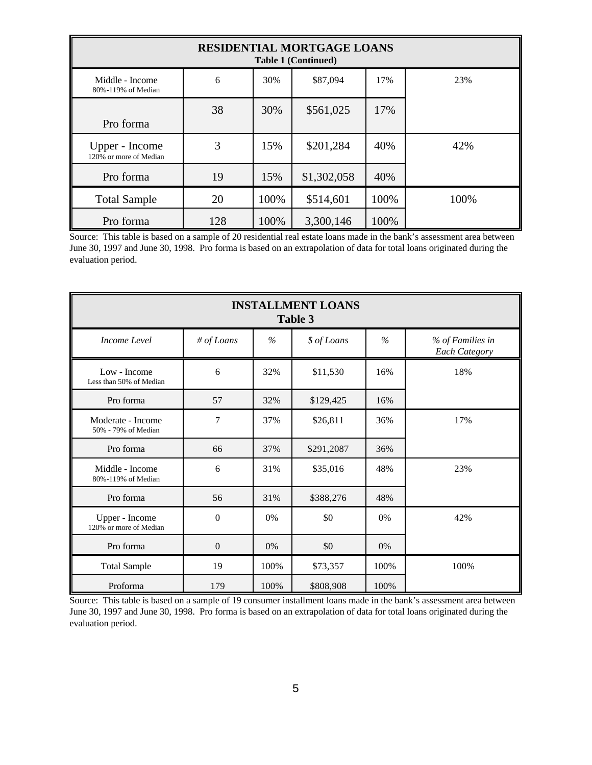| <b>RESIDENTIAL MORTGAGE LOANS</b><br><b>Table 1 (Continued)</b> |     |      |             |      |      |
|-----------------------------------------------------------------|-----|------|-------------|------|------|
| Middle - Income<br>80%-119% of Median                           | 6   | 30%  | \$87,094    | 17%  | 23%  |
| Pro forma                                                       | 38  | 30%  | \$561,025   | 17%  |      |
| Upper - Income<br>120% or more of Median                        | 3   | 15%  | \$201,284   | 40%  | 42%  |
| Pro forma                                                       | 19  | 15%  | \$1,302,058 | 40%  |      |
| <b>Total Sample</b>                                             | 20  | 100% | \$514,601   | 100% | 100% |
| Pro forma                                                       | 128 | 100% | 3,300,146   | 100% |      |

Source: This table is based on a sample of 20 residential real estate loans made in the bank's assessment area between June 30, 1997 and June 30, 1998. Pro forma is based on an extrapolation of data for total loans originated during the evaluation period.

| <b>INSTALLMENT LOANS</b><br>Table 3      |                  |               |             |      |                                   |  |
|------------------------------------------|------------------|---------------|-------------|------|-----------------------------------|--|
| Income Level                             | # of Loans       | $\frac{9}{6}$ | \$ of Loans | $\%$ | % of Families in<br>Each Category |  |
| Low - Income<br>Less than 50% of Median  | 6                | 32%           | \$11,530    | 16%  | 18%                               |  |
| Pro forma                                | 57               | 32%           | \$129,425   | 16%  |                                   |  |
| Moderate - Income<br>50% - 79% of Median | 7                | 37%           | \$26,811    | 36%  | 17%                               |  |
| Pro forma                                | 66               | 37%           | \$291,2087  | 36%  |                                   |  |
| Middle - Income<br>80%-119% of Median    | 6                | 31%           | \$35,016    | 48%  | 23%                               |  |
| Pro forma                                | 56               | 31%           | \$388,276   | 48%  |                                   |  |
| Upper - Income<br>120% or more of Median | $\boldsymbol{0}$ | 0%            | \$0         | 0%   | 42%                               |  |
| Pro forma                                | $\boldsymbol{0}$ | 0%            | \$0         | 0%   |                                   |  |
| <b>Total Sample</b>                      | 19               | 100%          | \$73,357    | 100% | 100%                              |  |
| Proforma                                 | 179              | 100%          | \$808,908   | 100% |                                   |  |

Source: This table is based on a sample of 19 consumer installment loans made in the bank's assessment area between June 30, 1997 and June 30, 1998. Pro forma is based on an extrapolation of data for total loans originated during the evaluation period.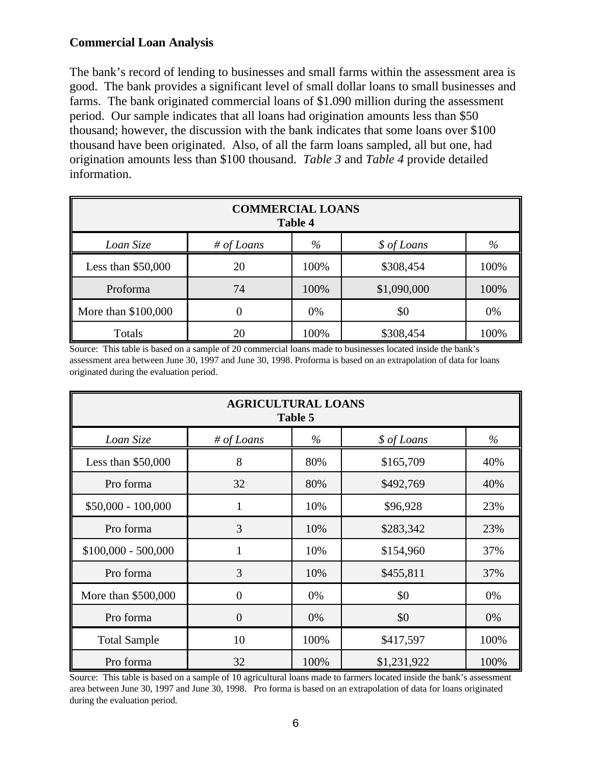## **Commercial Loan Analysis**

The bank's record of lending to businesses and small farms within the assessment area is good. The bank provides a significant level of small dollar loans to small businesses and farms. The bank originated commercial loans of \$1.090 million during the assessment period. Our sample indicates that all loans had origination amounts less than \$50 thousand; however, the discussion with the bank indicates that some loans over \$100 thousand have been originated. Also, of all the farm loans sampled, all but one, had origination amounts less than \$100 thousand. *Table 3* and *Table 4* provide detailed information.

| <b>COMMERCIAL LOANS</b><br><b>Table 4</b> |            |      |             |      |  |  |  |
|-------------------------------------------|------------|------|-------------|------|--|--|--|
| Loan Size                                 | # of Loans | $\%$ | \$ of Loans | %    |  |  |  |
| Less than $$50,000$                       | 20         | 100% | \$308,454   | 100% |  |  |  |
| Proforma                                  | 74         | 100% | \$1,090,000 | 100% |  |  |  |
| More than $$100,000$                      | 0          | 0%   | \$0         | 0%   |  |  |  |
| 100%<br>100%<br>\$308,454<br>Totals<br>20 |            |      |             |      |  |  |  |

Source: This table is based on a sample of 20 commercial loans made to businesses located inside the bank's assessment area between June 30, 1997 and June 30, 1998. Proforma is based on an extrapolation of data for loans originated during the evaluation period.

| <b>AGRICULTURAL LOANS</b><br>Table 5 |                |      |             |      |  |  |  |
|--------------------------------------|----------------|------|-------------|------|--|--|--|
| Loan Size                            | # of Loans     | $\%$ | \$ of Loans | $\%$ |  |  |  |
| Less than $$50,000$                  | 8              | 80%  | \$165,709   | 40%  |  |  |  |
| Pro forma                            | 32             | 80%  | \$492,769   | 40%  |  |  |  |
| $$50,000 - 100,000$                  | 1              | 10%  | \$96,928    | 23%  |  |  |  |
| Pro forma                            | 3              | 10%  | \$283,342   | 23%  |  |  |  |
| $$100,000 - 500,000$                 |                | 10%  | \$154,960   | 37%  |  |  |  |
| Pro forma                            | 3              | 10%  | \$455,811   | 37%  |  |  |  |
| More than \$500,000                  | $\overline{0}$ | 0%   | \$0         | 0%   |  |  |  |
| Pro forma                            | $\theta$       | 0%   | \$0         | 0%   |  |  |  |
| <b>Total Sample</b>                  | 10             | 100% | \$417,597   | 100% |  |  |  |
| Pro forma                            | 32             | 100% | \$1,231,922 | 100% |  |  |  |

Source: This table is based on a sample of 10 agricultural loans made to farmers located inside the bank's assessment area between June 30, 1997 and June 30, 1998. Pro forma is based on an extrapolation of data for loans originated during the evaluation period.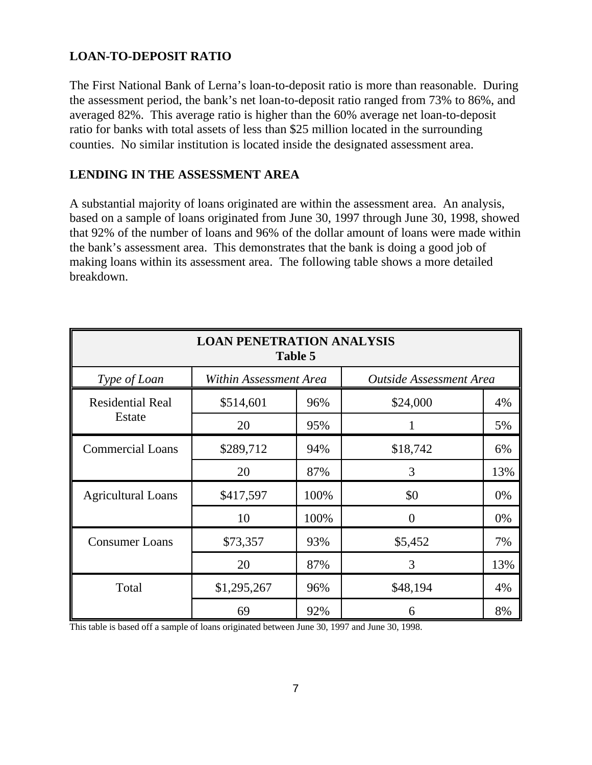## **LOAN-TO-DEPOSIT RATIO**

The First National Bank of Lerna's loan-to-deposit ratio is more than reasonable. During the assessment period, the bank's net loan-to-deposit ratio ranged from 73% to 86%, and averaged 82%. This average ratio is higher than the 60% average net loan-to-deposit ratio for banks with total assets of less than \$25 million located in the surrounding counties. No similar institution is located inside the designated assessment area.

## **LENDING IN THE ASSESSMENT AREA**

A substantial majority of loans originated are within the assessment area. An analysis, based on a sample of loans originated from June 30, 1997 through June 30, 1998, showed that 92% of the number of loans and 96% of the dollar amount of loans were made within the bank's assessment area. This demonstrates that the bank is doing a good job of making loans within its assessment area. The following table shows a more detailed breakdown.

| <b>LOAN PENETRATION ANALYSIS</b><br>Table 5 |             |                                                   |          |       |  |  |  |
|---------------------------------------------|-------------|---------------------------------------------------|----------|-------|--|--|--|
| Type of Loan                                |             | Within Assessment Area<br>Outside Assessment Area |          |       |  |  |  |
| <b>Residential Real</b>                     | \$514,601   | 96%                                               | \$24,000 | 4%    |  |  |  |
| Estate                                      | 20          | 95%                                               |          | 5%    |  |  |  |
| <b>Commercial Loans</b>                     | \$289,712   | 94%                                               | \$18,742 | 6%    |  |  |  |
|                                             | 20          | 87%                                               | 3        | 13%   |  |  |  |
| <b>Agricultural Loans</b>                   | \$417,597   | 100%                                              | \$0      | 0%    |  |  |  |
|                                             | 10          | 100%                                              | $\theta$ | $0\%$ |  |  |  |
| <b>Consumer Loans</b>                       | \$73,357    | 93%                                               | \$5,452  | 7%    |  |  |  |
|                                             | 20          | 87%                                               | 3        | 13%   |  |  |  |
| Total                                       | \$1,295,267 | 96%                                               | \$48,194 | 4%    |  |  |  |
|                                             | 69          | 92%                                               | 6        | 8%    |  |  |  |

This table is based off a sample of loans originated between June 30, 1997 and June 30, 1998.